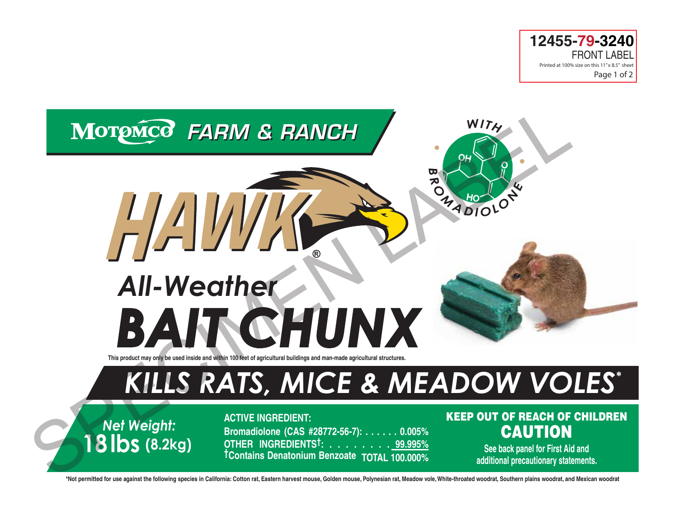



*Net Weight:* **18lbs (8.2kg)** **ACTIVE INGREDIENT: Bromadiolone (CAS #28772-56-7): . . . . . . 0.005% OTHER INGREDIENTS†: . . . . . . . . 99.995% †Contains Denatonium Benzoate TOTAL 100.000%**

# KEEP OUT OF REACH OF CHILDREN **CAUTION**

**See back panel for First Aid and additional precautionary statements.**

**\*Not permitted for use against the following species in California: Cotton rat, Eastern harvest mouse, Golden mouse, Polynesian rat, Meadow vole, White-throated woodrat, Southern plains woodrat, and Mexican woodrat**